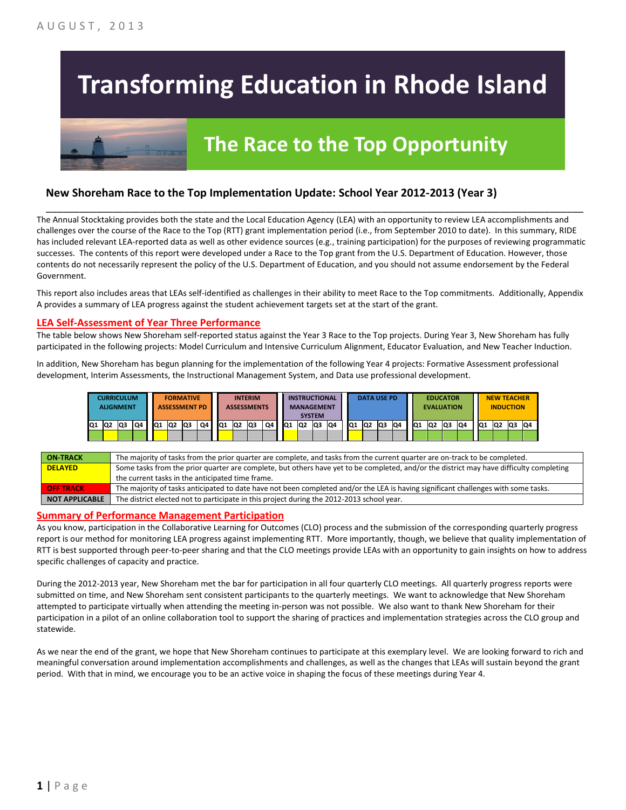# **Transforming Education in Rhode Island**

## **The Race to the Top Opportunity**

### **New Shoreham Race to the Top Implementation Update: School Year 2012-2013 (Year 3)**

The Annual Stocktaking provides both the state and the Local Education Agency (LEA) with an opportunity to review LEA accomplishments and challenges over the course of the Race to the Top (RTT) grant implementation period (i.e., from September 2010 to date). In this summary, RIDE has included relevant LEA-reported data as well as other evidence sources (e.g., training participation) for the purposes of reviewing programmatic successes. The contents of this report were developed under a Race to the Top grant from the U.S. Department of Education. However, those contents do not necessarily represent the policy of the U.S. Department of Education, and you should not assume endorsement by the Federal Government.

\_\_\_\_\_\_\_\_\_\_\_\_\_\_\_\_\_\_\_\_\_\_\_\_\_\_\_\_\_\_\_\_\_\_\_\_\_\_\_\_\_\_\_\_\_\_\_\_\_\_\_\_\_\_\_\_\_\_\_\_\_\_\_\_\_\_\_\_\_\_\_\_\_\_\_\_\_\_\_\_\_\_\_\_\_\_\_\_\_\_\_\_\_\_\_\_

This report also includes areas that LEAs self-identified as challenges in their ability to meet Race to the Top commitments. Additionally, Appendix A provides a summary of LEA progress against the student achievement targets set at the start of the grant.

#### **LEA Self-Assessment of Year Three Performance**

The table below shows New Shoreham self-reported status against the Year 3 Race to the Top projects. During Year 3, New Shoreham has fully participated in the following projects: Model Curriculum and Intensive Curriculum Alignment, Educator Evaluation, and New Teacher Induction.

In addition, New Shoreham has begun planning for the implementation of the following Year 4 projects: Formative Assessment professional development, Interim Assessments, the Instructional Management System, and Data use professional development.

| <b>CURRICULUM</b><br><b>ALIGNMENT</b> |  |    | <b>FORMATIVE</b><br><b>ASSESSMENT PD</b> |  |     |                | <b>INTERIM</b><br><b>ASSESSMENTS</b> |    |                 |                | <b>INSTRUCTIONAL</b><br><b>MANAGEMENT</b><br><b>SYSTEM</b> |    |                 | <b>DATA USE PD</b> |                |    | <b>EDUCATOR</b><br><b>EVALUATION</b> |           |     |    |     | <b>NEW TEACHER</b><br><b>INDUCTION</b> |     |    |                 |    |                |    |
|---------------------------------------|--|----|------------------------------------------|--|-----|----------------|--------------------------------------|----|-----------------|----------------|------------------------------------------------------------|----|-----------------|--------------------|----------------|----|--------------------------------------|-----------|-----|----|-----|----------------------------------------|-----|----|-----------------|----|----------------|----|
| Q1 Q2                                 |  | Q3 | Q4                                       |  | IQ1 | Q <sub>2</sub> | lQ3                                  | Q4 | IQ <sub>1</sub> | Q <sub>2</sub> | lQ3                                                        | Q4 | IQ <sub>1</sub> | Q2                 | Q <sub>3</sub> | Q4 | IQ <sub>1</sub>                      | <b>Q2</b> | lQ3 | Q4 | IQ1 | Q2                                     | lQ3 | Q4 | IQ <sub>1</sub> | Q2 | Q <sub>3</sub> | Q4 |
|                                       |  |    |                                          |  |     |                |                                      |    |                 |                |                                                            |    |                 |                    |                |    |                                      |           |     |    |     |                                        |     |    |                 |    |                |    |

| <b>ON TRACK</b>       | The majority of tasks from the prior quarter are complete, and tasks from the current quarter are on-track to be completed.             |
|-----------------------|-----------------------------------------------------------------------------------------------------------------------------------------|
| <b>DELAYED</b>        | Some tasks from the prior quarter are complete, but others have yet to be completed, and/or the district may have difficulty completing |
|                       | the current tasks in the anticipated time frame.                                                                                        |
| <b>OFF TRACK</b>      | The majority of tasks anticipated to date have not been completed and/or the LEA is having significant challenges with some tasks.      |
| <b>NOT APPLICABLE</b> | The district elected not to participate in this project during the 2012-2013 school year.                                               |

#### **Summary of Performance Management Participation**

As you know, participation in the Collaborative Learning for Outcomes (CLO) process and the submission of the corresponding quarterly progress report is our method for monitoring LEA progress against implementing RTT. More importantly, though, we believe that quality implementation of RTT is best supported through peer-to-peer sharing and that the CLO meetings provide LEAs with an opportunity to gain insights on how to address specific challenges of capacity and practice.

During the 2012-2013 year, New Shoreham met the bar for participation in all four quarterly CLO meetings. All quarterly progress reports were submitted on time, and New Shoreham sent consistent participants to the quarterly meetings. We want to acknowledge that New Shoreham attempted to participate virtually when attending the meeting in-person was not possible. We also want to thank New Shoreham for their participation in a pilot of an online collaboration tool to support the sharing of practices and implementation strategies across the CLO group and statewide.

As we near the end of the grant, we hope that New Shoreham continues to participate at this exemplary level. We are looking forward to rich and meaningful conversation around implementation accomplishments and challenges, as well as the changes that LEAs will sustain beyond the grant period. With that in mind, we encourage you to be an active voice in shaping the focus of these meetings during Year 4.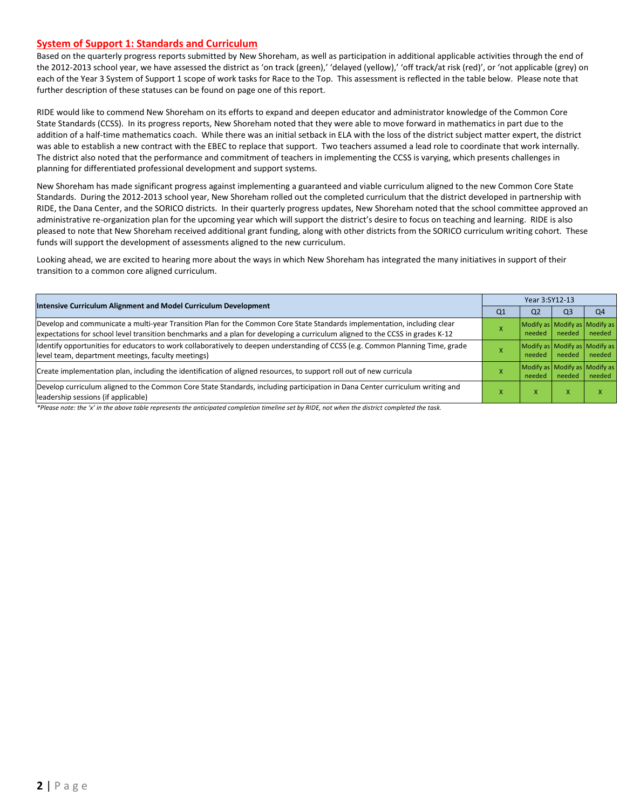#### **System of Support 1: Standards and Curriculum**

Based on the quarterly progress reports submitted by New Shoreham, as well as participation in additional applicable activities through the end of the 2012-2013 school year, we have assessed the district as 'on track (green),' 'delayed (yellow),' 'off track/at risk (red)', or 'not applicable (grey) on each of the Year 3 System of Support 1 scope of work tasks for Race to the Top. This assessment is reflected in the table below. Please note that further description of these statuses can be found on page one of this report.

RIDE would like to commend New Shoreham on its efforts to expand and deepen educator and administrator knowledge of the Common Core State Standards (CCSS). In its progress reports, New Shoreham noted that they were able to move forward in mathematics in part due to the addition of a half-time mathematics coach. While there was an initial setback in ELA with the loss of the district subject matter expert, the district was able to establish a new contract with the EBEC to replace that support. Two teachers assumed a lead role to coordinate that work internally. The district also noted that the performance and commitment of teachers in implementing the CCSS is varying, which presents challenges in planning for differentiated professional development and support systems.

New Shoreham has made significant progress against implementing a guaranteed and viable curriculum aligned to the new Common Core State Standards. During the 2012-2013 school year, New Shoreham rolled out the completed curriculum that the district developed in partnership with RIDE, the Dana Center, and the SORICO districts. In their quarterly progress updates, New Shoreham noted that the school committee approved an administrative re-organization plan for the upcoming year which will support the district's desire to focus on teaching and learning. RIDE is also pleased to note that New Shoreham received additional grant funding, along with other districts from the SORICO curriculum writing cohort. These funds will support the development of assessments aligned to the new curriculum.

Looking ahead, we are excited to hearing more about the ways in which New Shoreham has integrated the many initiatives in support of their transition to a common core aligned curriculum.

|                                                                                                                                                                                                                                                           | Year 3:SY12-13 |                                         |                |                |  |  |
|-----------------------------------------------------------------------------------------------------------------------------------------------------------------------------------------------------------------------------------------------------------|----------------|-----------------------------------------|----------------|----------------|--|--|
| Intensive Curriculum Alignment and Model Curriculum Development                                                                                                                                                                                           | Q <sub>1</sub> | Q <sub>2</sub>                          | Q <sub>3</sub> | Q <sub>4</sub> |  |  |
| Develop and communicate a multi-year Transition Plan for the Common Core State Standards implementation, including clear<br>expectations for school level transition benchmarks and a plan for developing a curriculum aligned to the CCSS in grades K-12 |                | Modify as Modify as Modify as<br>needed | needed         | needed         |  |  |
| Identify opportunities for educators to work collaboratively to deepen understanding of CCSS (e.g. Common Planning Time, grade<br>level team, department meetings, faculty meetings)                                                                      |                | Modify as Modify as Modify as<br>needed | needed         | needed         |  |  |
| Create implementation plan, including the identification of aligned resources, to support roll out of new curricula                                                                                                                                       |                | Modify as Modify as Modify as<br>needed | needed         | needed         |  |  |
| Develop curriculum aligned to the Common Core State Standards, including participation in Dana Center curriculum writing and<br>leadership sessions (if applicable)                                                                                       |                | ж                                       | v              | ⋏              |  |  |

*\*Please note: the 'x' in the above table represents the anticipated completion timeline set by RIDE, not when the district completed the task.*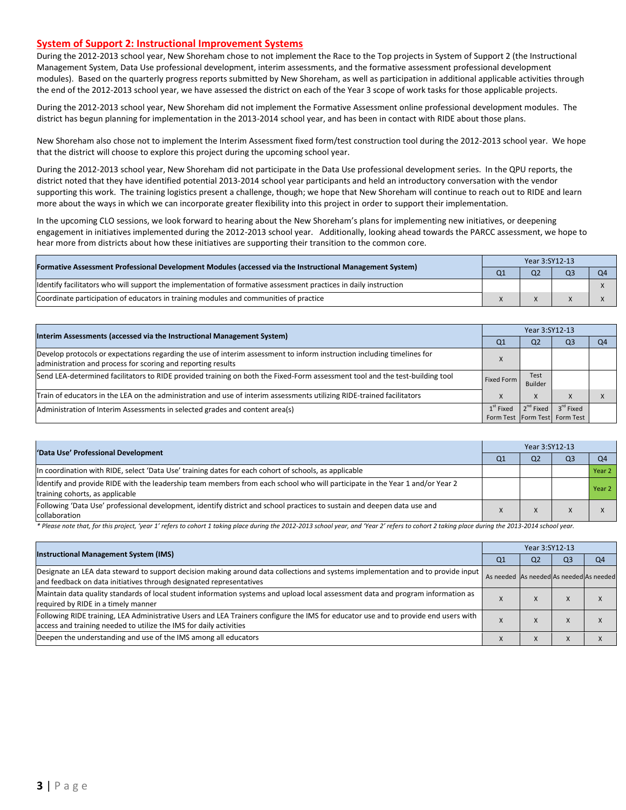#### **System of Support 2: Instructional Improvement Systems**

During the 2012-2013 school year, New Shoreham chose to not implement the Race to the Top projects in System of Support 2 (the Instructional Management System, Data Use professional development, interim assessments, and the formative assessment professional development modules). Based on the quarterly progress reports submitted by New Shoreham, as well as participation in additional applicable activities through the end of the 2012-2013 school year, we have assessed the district on each of the Year 3 scope of work tasks for those applicable projects.

During the 2012-2013 school year, New Shoreham did not implement the Formative Assessment online professional development modules. The district has begun planning for implementation in the 2013-2014 school year, and has been in contact with RIDE about those plans.

New Shoreham also chose not to implement the Interim Assessment fixed form/test construction tool during the 2012-2013 school year. We hope that the district will choose to explore this project during the upcoming school year.

During the 2012-2013 school year, New Shoreham did not participate in the Data Use professional development series. In the QPU reports, the district noted that they have identified potential 2013-2014 school year participants and held an introductory conversation with the vendor supporting this work. The training logistics present a challenge, though; we hope that New Shoreham will continue to reach out to RIDE and learn more about the ways in which we can incorporate greater flexibility into this project in order to support their implementation.

In the upcoming CLO sessions, we look forward to hearing about the New Shoreham's plans for implementing new initiatives, or deepening engagement in initiatives implemented during the 2012-2013 school year. Additionally, looking ahead towards the PARCC assessment, we hope to hear more from districts about how these initiatives are supporting their transition to the common core.

| [Formative Assessment Professional Development Modules (accessed via the Instructional Management System)        |  | Year 3:SY12-13 |                |  |  |  |  |
|------------------------------------------------------------------------------------------------------------------|--|----------------|----------------|--|--|--|--|
|                                                                                                                  |  | Q <sub>2</sub> | Q <sub>3</sub> |  |  |  |  |
| ldentify facilitators who will support the implementation of formative assessment practices in daily instruction |  |                |                |  |  |  |  |
| Coordinate participation of educators in training modules and communities of practice                            |  |                |                |  |  |  |  |

| Interim Assessments (accessed via the Instructional Management System)                                                                                                                  | Year 3:SY12-13 |                       |                                   |                |  |  |
|-----------------------------------------------------------------------------------------------------------------------------------------------------------------------------------------|----------------|-----------------------|-----------------------------------|----------------|--|--|
|                                                                                                                                                                                         | Q <sub>1</sub> | Q <sub>2</sub>        | Q <sub>3</sub>                    | O <sub>4</sub> |  |  |
| Develop protocols or expectations regarding the use of interim assessment to inform instruction including timelines for<br>administration and process for scoring and reporting results |                |                       |                                   |                |  |  |
| Send LEA-determined facilitators to RIDE provided training on both the Fixed-Form assessment tool and the test-building tool                                                            | Fixed Form     | Test<br>Builder       |                                   |                |  |  |
| Train of educators in the LEA on the administration and use of interim assessments utilizing RIDE-trained facilitators                                                                  |                | X                     | $\mathbf{x}$                      |                |  |  |
| Administration of Interim Assessments in selected grades and content area(s)                                                                                                            | $1st$ Fixed    | 2 <sup>nd</sup> Fixed | 3 <sup>rd</sup> Fixed             |                |  |  |
|                                                                                                                                                                                         |                |                       | Form Test   Form Test   Form Test |                |  |  |

| 'Data Use' Professional Development                                                                                                                             |    | Year 3:SY12-13 |                |                |  |  |  |
|-----------------------------------------------------------------------------------------------------------------------------------------------------------------|----|----------------|----------------|----------------|--|--|--|
|                                                                                                                                                                 | Q1 | Q <sub>2</sub> | Q <sub>3</sub> | O <sub>4</sub> |  |  |  |
| In coordination with RIDE, select 'Data Use' training dates for each cohort of schools, as applicable                                                           |    |                |                | Year 2         |  |  |  |
| ldentify and provide RIDE with the leadership team members from each school who will participate in the Year 1 and/or Year 2<br>training cohorts, as applicable |    |                |                | Year 2         |  |  |  |
| Following 'Data Use' professional development, identify district and school practices to sustain and deepen data use and<br>collaboration                       |    |                |                |                |  |  |  |

\* Please note that, for this project, 'year 1' refers to cohort 1 taking place during the 2012-2013 school year, and 'Year 2' refers to cohort 2 taking place during the 2013-2014 school year.

|                                                                                                                                                                                                           |                                         |                | Year 3:SY12-13 |    |  |  |  |  |
|-----------------------------------------------------------------------------------------------------------------------------------------------------------------------------------------------------------|-----------------------------------------|----------------|----------------|----|--|--|--|--|
| <b>Instructional Management System (IMS)</b>                                                                                                                                                              | Q1                                      | Q <sub>2</sub> | Q3             | O4 |  |  |  |  |
| Designate an LEA data steward to support decision making around data collections and systems implementation and to provide input<br>and feedback on data initiatives through designated representatives   | As needed As needed As needed As needed |                |                |    |  |  |  |  |
| Maintain data quality standards of local student information systems and upload local assessment data and program information as<br>required by RIDE in a timely manner                                   |                                         | $\lambda$      |                |    |  |  |  |  |
| Following RIDE training, LEA Administrative Users and LEA Trainers configure the IMS for educator use and to provide end users with<br>access and training needed to utilize the IMS for daily activities |                                         | $\lambda$      |                |    |  |  |  |  |
| Deepen the understanding and use of the IMS among all educators                                                                                                                                           |                                         | $\lambda$      |                |    |  |  |  |  |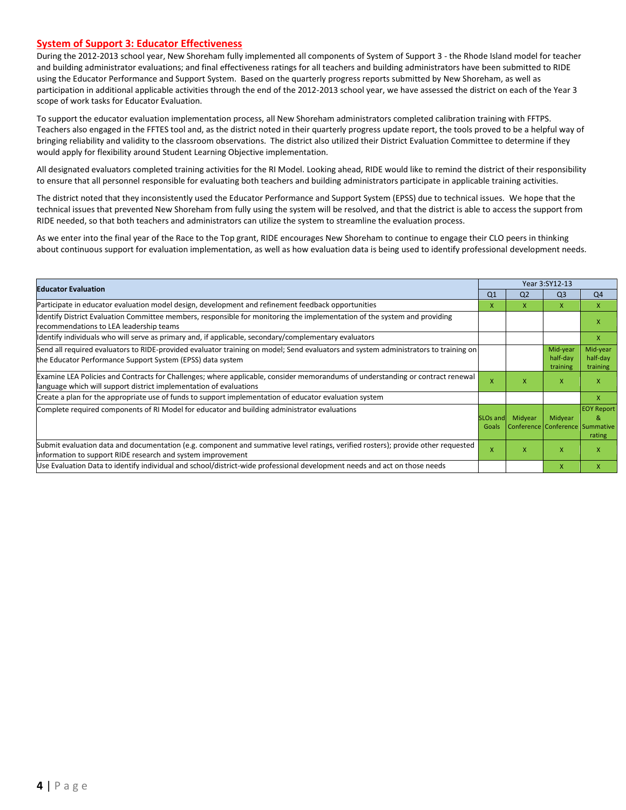#### **System of Support 3: Educator Effectiveness**

During the 2012-2013 school year, New Shoreham fully implemented all components of System of Support 3 - the Rhode Island model for teacher and building administrator evaluations; and final effectiveness ratings for all teachers and building administrators have been submitted to RIDE using the Educator Performance and Support System. Based on the quarterly progress reports submitted by New Shoreham, as well as participation in additional applicable activities through the end of the 2012-2013 school year, we have assessed the district on each of the Year 3 scope of work tasks for Educator Evaluation.

To support the educator evaluation implementation process, all New Shoreham administrators completed calibration training with FFTPS. Teachers also engaged in the FFTES tool and, as the district noted in their quarterly progress update report, the tools proved to be a helpful way of bringing reliability and validity to the classroom observations. The district also utilized their District Evaluation Committee to determine if they would apply for flexibility around Student Learning Objective implementation.

All designated evaluators completed training activities for the RI Model. Looking ahead, RIDE would like to remind the district of their responsibility to ensure that all personnel responsible for evaluating both teachers and building administrators participate in applicable training activities.

The district noted that they inconsistently used the Educator Performance and Support System (EPSS) due to technical issues. We hope that the technical issues that prevented New Shoreham from fully using the system will be resolved, and that the district is able to access the support from RIDE needed, so that both teachers and administrators can utilize the system to streamline the evaluation process.

As we enter into the final year of the Race to the Top grant, RIDE encourages New Shoreham to continue to engage their CLO peers in thinking about continuous support for evaluation implementation, as well as how evaluation data is being used to identify professional development needs.

|                                                                                                                                                                                                      |                               |                                            | Year 3:SY12-13                   |                                  |  |  |
|------------------------------------------------------------------------------------------------------------------------------------------------------------------------------------------------------|-------------------------------|--------------------------------------------|----------------------------------|----------------------------------|--|--|
| <b>Educator Evaluation</b>                                                                                                                                                                           | Q <sub>1</sub>                | Q <sub>2</sub>                             | Q <sub>3</sub>                   | Q <sub>4</sub>                   |  |  |
| Participate in educator evaluation model design, development and refinement feedback opportunities                                                                                                   | X                             | X                                          | X                                | $\mathsf{x}$                     |  |  |
| Identify District Evaluation Committee members, responsible for monitoring the implementation of the system and providing<br>recommendations to LEA leadership teams                                 |                               |                                            |                                  | X                                |  |  |
| Identify individuals who will serve as primary and, if applicable, secondary/complementary evaluators                                                                                                |                               |                                            |                                  | X                                |  |  |
| Send all required evaluators to RIDE-provided evaluator training on model; Send evaluators and system administrators to training on<br>the Educator Performance Support System (EPSS) data system    |                               |                                            | Mid-year<br>half-day<br>training | Mid-year<br>half-day<br>training |  |  |
| Examine LEA Policies and Contracts for Challenges; where applicable, consider memorandums of understanding or contract renewal<br>language which will support district implementation of evaluations | x                             | x                                          | X                                | X                                |  |  |
| Create a plan for the appropriate use of funds to support implementation of educator evaluation system                                                                                               |                               |                                            |                                  | $\mathsf{x}$                     |  |  |
| Complete required components of RI Model for educator and building administrator evaluations                                                                                                         | SLO <sub>s</sub> and<br>Goals | Midyear<br>Conference Conference Summative | Midyear                          | <b>EOY Report</b><br>8<br>rating |  |  |
| Submit evaluation data and documentation (e.g. component and summative level ratings, verified rosters); provide other requested<br>information to support RIDE research and system improvement      | X                             | X                                          | $\mathsf{x}$                     | X                                |  |  |
| Use Evaluation Data to identify individual and school/district-wide professional development needs and act on those needs                                                                            |                               |                                            | $\mathsf{x}$                     | $\mathsf{x}$                     |  |  |